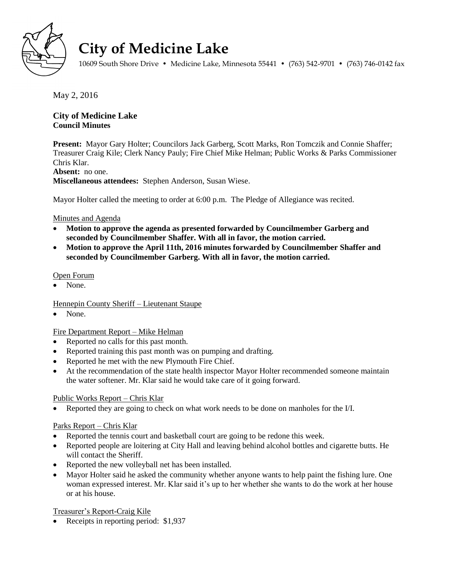

# **City of Medicine Lake**

10609 South Shore Drive • Medicine Lake, Minnesota 55441 • (763) 542-9701 • (763) 746-0142 fax

May 2, 2016

# **City of Medicine Lake Council Minutes**

**Present:** Mayor Gary Holter; Councilors Jack Garberg, Scott Marks, Ron Tomczik and Connie Shaffer; Treasurer Craig Kile; Clerk Nancy Pauly; Fire Chief Mike Helman; Public Works & Parks Commissioner Chris Klar.

# **Absent:** no one.

**Miscellaneous attendees:** Stephen Anderson, Susan Wiese.

Mayor Holter called the meeting to order at 6:00 p.m. The Pledge of Allegiance was recited.

# Minutes and Agenda

- **Motion to approve the agenda as presented forwarded by Councilmember Garberg and seconded by Councilmember Shaffer. With all in favor, the motion carried.**
- **Motion to approve the April 11th, 2016 minutes forwarded by Councilmember Shaffer and seconded by Councilmember Garberg. With all in favor, the motion carried.**

# Open Forum

None.

# Hennepin County Sheriff – Lieutenant Staupe

None.

# Fire Department Report – Mike Helman

- Reported no calls for this past month.
- Reported training this past month was on pumping and drafting.
- Reported he met with the new Plymouth Fire Chief.
- At the recommendation of the state health inspector Mayor Holter recommended someone maintain the water softener. Mr. Klar said he would take care of it going forward.

# Public Works Report – Chris Klar

Reported they are going to check on what work needs to be done on manholes for the I/I.

## Parks Report – Chris Klar

- Reported the tennis court and basketball court are going to be redone this week.
- Reported people are loitering at City Hall and leaving behind alcohol bottles and cigarette butts. He will contact the Sheriff.
- Reported the new volleyball net has been installed.
- Mayor Holter said he asked the community whether anyone wants to help paint the fishing lure. One woman expressed interest. Mr. Klar said it's up to her whether she wants to do the work at her house or at his house.

Treasurer's Report-Craig Kile

• Receipts in reporting period: \$1,937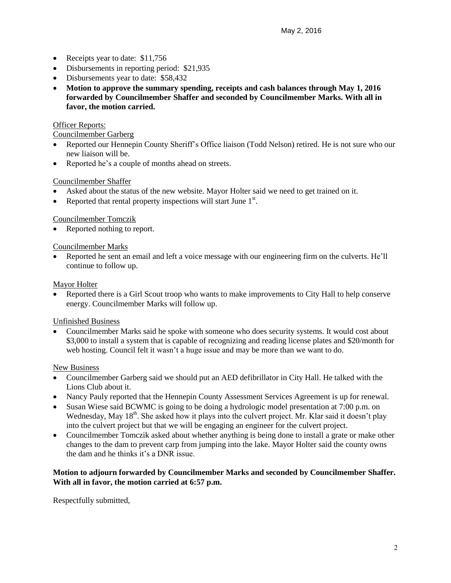- Receipts year to date: \$11,756
- Disbursements in reporting period: \$21,935
- Disbursements year to date: \$58,432
- **Motion to approve the summary spending, receipts and cash balances through May 1, 2016 forwarded by Councilmember Shaffer and seconded by Councilmember Marks. With all in favor, the motion carried.**

# **Officer Reports:**

#### Councilmember Garberg

- Reported our Hennepin County Sheriff's Office liaison (Todd Nelson) retired. He is not sure who our new liaison will be.
- Reported he's a couple of months ahead on streets.

## Councilmember Shaffer

- Asked about the status of the new website. Mayor Holter said we need to get trained on it.
- Reported that rental property inspections will start June  $1<sup>st</sup>$ .

# Councilmember Tomczik

• Reported nothing to report.

## Councilmember Marks

 Reported he sent an email and left a voice message with our engineering firm on the culverts. He'll continue to follow up.

## Mayor Holter

 Reported there is a Girl Scout troop who wants to make improvements to City Hall to help conserve energy. Councilmember Marks will follow up.

## Unfinished Business

 Councilmember Marks said he spoke with someone who does security systems. It would cost about \$3,000 to install a system that is capable of recognizing and reading license plates and \$20/month for web hosting. Council felt it wasn't a huge issue and may be more than we want to do.

## New Business

- Councilmember Garberg said we should put an AED defibrillator in City Hall. He talked with the Lions Club about it.
- Nancy Pauly reported that the Hennepin County Assessment Services Agreement is up for renewal.
- Susan Wiese said BCWMC is going to be doing a hydrologic model presentation at 7:00 p.m. on Wednesday, May  $18<sup>th</sup>$ . She asked how it plays into the culvert project. Mr. Klar said it doesn't play into the culvert project but that we will be engaging an engineer for the culvert project.
- Councilmember Tomczik asked about whether anything is being done to install a grate or make other changes to the dam to prevent carp from jumping into the lake. Mayor Holter said the county owns the dam and he thinks it's a DNR issue.

## **Motion to adjourn forwarded by Councilmember Marks and seconded by Councilmember Shaffer. With all in favor, the motion carried at 6:57 p.m.**

Respectfully submitted,